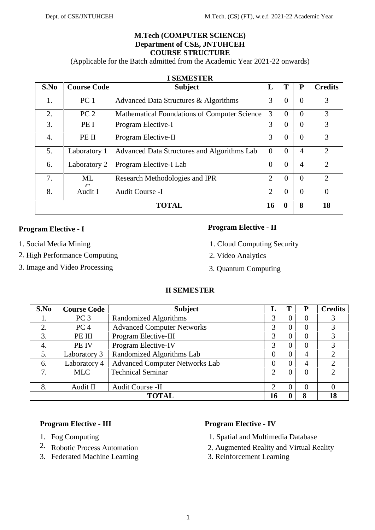#### **M.Tech (COMPUTER SCIENCE) Department of CSE, JNTUHCEH COURSE STRUCTURE**

(Applicable for the Batch admitted from the Academic Year 2021-22 onwards)

| S.No             | <b>Course Code</b> | <b>Subject</b>                               | L              | T           | P              | <b>Credits</b>              |
|------------------|--------------------|----------------------------------------------|----------------|-------------|----------------|-----------------------------|
| 1.               | PC <sub>1</sub>    | Advanced Data Structures & Algorithms        | 3              | $\theta$    | $\theta$       | 3                           |
| 2.               | PC <sub>2</sub>    | Mathematical Foundations of Computer Science | 3              | $\Omega$    | $\theta$       | 3                           |
| $\overline{3}$ . | PE I               | Program Elective-I                           | 3              | $\Omega$    | $\theta$       | 3                           |
| 4.               | PE II              | Program Elective-II                          | 3              | $\Omega$    | $\theta$       | 3                           |
| 5.               | Laboratory 1       | Advanced Data Structures and Algorithms Lab  | $\Omega$       | $\Omega$    | $\overline{4}$ | $\mathfrak{2}$              |
| 6.               | Laboratory 2       | Program Elective-I Lab                       | $\overline{0}$ | $\theta$    | $\overline{4}$ | $\mathfrak{2}$              |
| 7.               | ML                 | Research Methodologies and IPR               | 2              | $\Omega$    | $\theta$       | $\mathcal{D}_{\mathcal{L}}$ |
| 8.               | Audit I            | Audit Course -I                              | 2              | $\Omega$    | $\theta$       | 0                           |
|                  |                    | <b>TOTAL</b>                                 | 16             | $\mathbf 0$ | 8              | 18                          |

#### **I SEMESTER**

# **Program Elective - I Program Elective - II**

- 
- 2. High Performance Computing 2. Video Analytics
- 3. Image and Video Processing 3. Quantum Computing

- 1. Social Media Mining 1. Cloud Computing Security
	-
	-

# **II SEMESTER**

| S.No | <b>Course Code</b> | <b>Subject</b>                        | L              |                | P              | <b>Credits</b> |
|------|--------------------|---------------------------------------|----------------|----------------|----------------|----------------|
| 1.   | PC <sub>3</sub>    | Randomized Algorithms                 | 3              | 0              | 0              |                |
| 2.   | PC <sub>4</sub>    | <b>Advanced Computer Networks</b>     | 3              | $\Omega$       | 0              | 3              |
| 3.   | PE III             | Program Elective-III                  | 3              | 0              | 0              | 3              |
| 4.   | PE IV              | Program Elective-IV                   | 3              | 0              | 0              | 3              |
| 5.   | Laboratory 3       | Randomized Algorithms Lab             | $\overline{0}$ | $\overline{0}$ | $\overline{4}$ | $\overline{2}$ |
| 6.   | Laboratory 4       | <b>Advanced Computer Networks Lab</b> | 0              | 0              | 4              | 2              |
| 7.   | <b>MLC</b>         | <b>Technical Seminar</b>              | 2              | 0              | $\Omega$       | $\overline{2}$ |
|      |                    |                                       |                |                |                |                |
| 8.   | Audit II           | Audit Course -II                      | 2              | 0              | $\Omega$       | 0              |
|      |                    | <b>TOTAL</b>                          | 16             |                | 8              | 18             |

- 
- 
- 3. Federated Machine Learning 3. Reinforcement Learning

# **Program Elective - III Program Elective - IV**

- 1. Fog Computing 1. Spatial and Multimedia Database
- 2. Robotic Process Automation 2. Augmented Reality and Virtual Reality
	-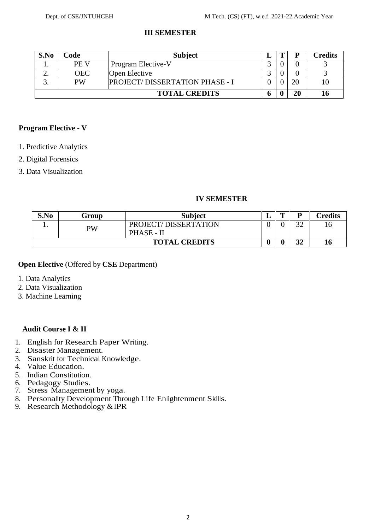**5**<br>1970 - Paul Barnett, amerikanischer Politiker<br>1970 - Paul Barnett, amerikanischer Politiker († 1980)

# **III SEMESTER**

| S.No | Code        | <b>Subject</b>                        |   |    | Credits |
|------|-------------|---------------------------------------|---|----|---------|
|      | <b>PE V</b> | Program Elective-V                    |   |    |         |
| ∠.   | <b>OEC</b>  | Open Elective                         |   |    |         |
|      | <b>PW</b>   | <b>PROJECT/DISSERTATION PHASE - I</b> |   | 20 |         |
|      |             | <b>TOTAL CREDITS</b>                  | o | 20 |         |

## **Program Elective - V**

- 1. Predictive Analytics
- 2. Digital Forensics
- 3. Data Visualization

#### **IV SEMESTER**

| S.No | Group | <b>Subject</b>       | . . | m | R            | <b>Credits</b> |
|------|-------|----------------------|-----|---|--------------|----------------|
| . .  | PW    | PROJECT/DISSERTATION |     |   | $\cap$<br>◡  | 10             |
|      |       | PHASE - II           |     |   |              |                |
|      |       | <b>TOTAL CREDITS</b> |     |   | $\sim$<br>◡∸ | 16             |

#### **Open Elective** (Offered by **CSE** Department)

- 1. Data Analytics
- 2. Data Visualization
- 3. Machine Learning

# **Audit Course I & II**

- 1. English for Research Paper Writing. 2. Disaster Management.
- 
- 3. Sanskrit for Technical Knowledge. 4. Value Education.
- 
- 
- 5. Indian Constitution.<br>6. Pedagogy Studies.
- 7. Stress Management by yoga.
- 8. Personality Development Through Life Enlightenment Skills. 9. Research Methodology & IPR
-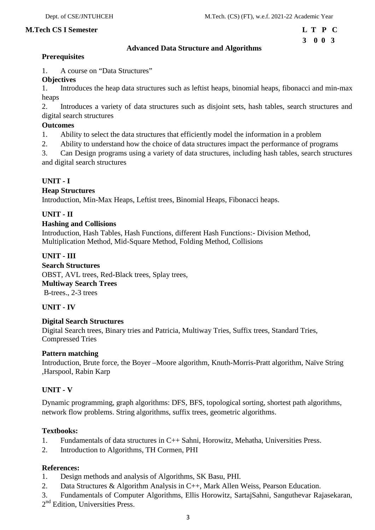# **3 0 0 3**

# **Advanced Data Structure and Algorithms**

# **Prerequisites**

1. A course on "Data Structures"

# **Objectives**

1. Introduces the heap data structures such as leftist heaps, binomial heaps, fibonacci and min-max heaps

2. Introduces a variety of data structures such as disjoint sets, hash tables, search structures and digital search structures

## **Outcomes**

- 1. Ability to select the data structures that efficiently model the information in a problem
- 2. Ability to understand how the choice of data structures impact the performance of programs

3. Can Design programs using a variety of data structures, including hash tables, search structures and digital search structures

# **UNIT - I**

## **Heap Structures**

Introduction, Min-Max Heaps, Leftist trees, Binomial Heaps, Fibonacci heaps.

# **UNIT - II**

## **Hashing and Collisions**

Introduction, Hash Tables, Hash Functions, different Hash Functions:- Division Method, Multiplication Method, Mid-Square Method, Folding Method, Collisions

# **UNIT - III**

**Search Structures** OBST, AVL trees, Red-Black trees, Splay trees, **Multiway Search Trees** B-trees., 2-3 trees

# **UNIT - IV**

#### **Digital Search Structures**

Digital Search trees, Binary tries and Patricia, Multiway Tries, Suffix trees, Standard Tries, Compressed Tries

#### **Pattern matching**

Introduction, Brute force, the Boyer –Moore algorithm, Knuth-Morris-Pratt algorithm, Naïve String ,Harspool, Rabin Karp

# **UNIT - V**

Dynamic programming, graph algorithms: DFS, BFS, topological sorting, shortest path algorithms, network flow problems. String algorithms, suffix trees, geometric algorithms.

# **Textbooks:**

- 1. Fundamentals of data structures in C++ Sahni, Horowitz, Mehatha, Universities Press.
- 2. Introduction to Algorithms, TH Cormen, PHI

# **References:**

- 1. Design methods and analysis of Algorithms, SK Basu, PHI.
- 2. Data Structures & Algorithm Analysis in C++, Mark Allen Weiss, Pearson Education.
- 3. Fundamentals of Computer Algorithms, Ellis Horowitz, SartajSahni, Sanguthevar Rajasekaran,
- 2<sup>nd</sup> Edition, Universities Press.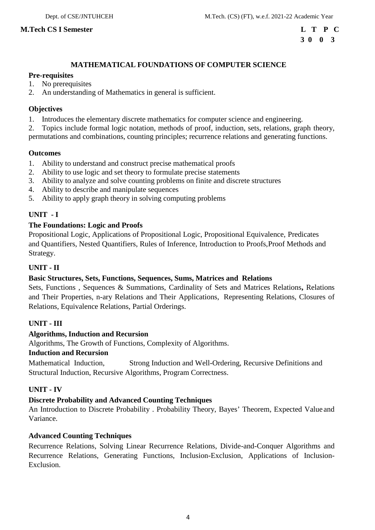# **3 0 0 3**

# **MATHEMATICAL FOUNDATIONS OF COMPUTER SCIENCE**

# **Pre-requisites**

- 1. No prerequisites
- 2. An understanding of Mathematics in general is sufficient.

# **Objectives**

1. Introduces the elementary discrete mathematics for computer science and engineering.

2. Topics include formal logic notation, methods of proof, induction, sets, relations, graph theory, permutations and combinations, counting principles; recurrence relations and generating functions.

## **Outcomes**

- 1. Ability to understand and construct precise mathematical proofs
- 2. Ability to use logic and set theory to formulate precise statements
- 3. Ability to analyze and solve counting problems on finite and discrete structures
- 4. Ability to describe and manipulate sequences
- 5. Ability to apply graph theory in solving computing problems

# **UNIT - I**

# **The Foundations: Logic and Proofs**

Propositional Logic, Applications of Propositional Logic, Propositional Equivalence, Predicates and Quantifiers, Nested Quantifiers, Rules of Inference, Introduction to Proofs,Proof Methods and Strategy.

# **UNIT - II**

# **Basic Structures, Sets, Functions, Sequences, Sums, Matrices and Relations**

Sets, Functions , Sequences & Summations, Cardinality of Sets and Matrices Relations, Relations and Their Properties, n-ary Relations and Their Applications, Representing Relations, Closures of Relations, Equivalence Relations, Partial Orderings.

# **UNIT - III**

# **Algorithms, Induction and Recursion**

Algorithms, The Growth of Functions, Complexity of Algorithms.

#### **Induction and Recursion**

Mathematical Induction, Strong Induction and Well-Ordering, Recursive Definitions and Structural Induction, Recursive Algorithms, Program Correctness.

# **UNIT - IV**

# **Discrete Probability and Advanced Counting Techniques**

An Introduction to Discrete Probability . Probability Theory, Bayes' Theorem, Expected Value and Variance.

# **Advanced Counting Techniques**

Recurrence Relations, Solving Linear Recurrence Relations, Divide-and-Conquer Algorithms and Recurrence Relations, Generating Functions, Inclusion-Exclusion, Applications of Inclusion- Exclusion.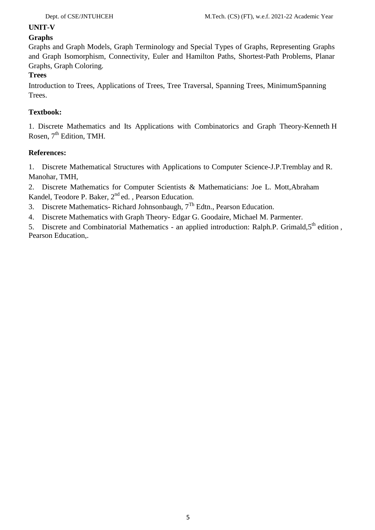# **UNIT-V**

# **Graphs**

Graphs and Graph Models, Graph Terminology and Special Types of Graphs, Representing Graphs and Graph Isomorphism, Connectivity, Euler and Hamilton Paths, Shortest-Path Problems, Planar Graphs, Graph Coloring.

# **Trees**

Introduction to Trees, Applications of Trees, Tree Traversal, Spanning Trees, MinimumSpanning Trees.

# **Textbook:**

1. Discrete Mathematics and Its Applications with Combinatorics and Graph Theory-Kenneth H Rosen, 7<sup>th</sup> Edition, TMH.

# **References:**

1. Discrete Mathematical Structures with Applications to Computer Science-J.P.Tremblay and R. Manohar, TMH,

2. Discrete Mathematics for Computer Scientists & Mathematicians: Joe L. Mott,Abraham Kandel, Teodore P. Baker, 2<sup>nd</sup> ed., Pearson Education.

- 3. Discrete Mathematics-Richard Johnsonbaugh,  $7<sup>Th</sup>$  Edtn., Pearson Education.
- 4. Discrete Mathematics with Graph Theory- Edgar G. Goodaire, Michael M. Parmenter.

5. Discrete and Combinatorial Mathematics - an applied introduction: Ralph.P. Grimald,5<sup>th</sup> edition, Pearson Education,.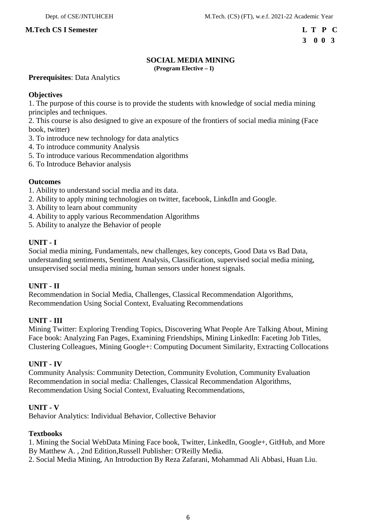# **SOCIAL MEDIA MINING**

**(Program Elective – I)**

**Prerequisites**: Data Analytics

# **Objectives**

1. The purpose of this course is to provide the students with knowledge of social media mining principles and techniques.

2. This course is also designed to give an exposure of the frontiers of social media mining (Face book, twitter)

- 3. To introduce new technology for data analytics
- 4. To introduce community Analysis
- 5. To introduce various Recommendation algorithms
- 6. To Introduce Behavior analysis

## **Outcomes**

- 1. Ability to understand social media and its data.
- 2. Ability to apply mining technologies on twitter, facebook, LinkdIn and Google.
- 3. Ability to learn about community
- 4. Ability to apply various Recommendation Algorithms
- 5. Ability to analyze the Behavior of people

# **UNIT - I**

Social media mining, Fundamentals, new challenges, key concepts, Good Data vs Bad Data, understanding sentiments, Sentiment Analysis, Classification, supervised social media mining, unsupervised social media mining, human sensors under honest signals.

# **UNIT - II**

Recommendation in Social Media, Challenges, Classical Recommendation Algorithms, Recommendation Using Social Context, Evaluating Recommendations

# **UNIT - III**

Mining Twitter: Exploring Trending Topics, Discovering What People Are Talking About, Mining Face book: Analyzing Fan Pages, Examining Friendships, Mining LinkedIn: Faceting Job Titles, Clustering Colleagues, Mining Google+: Computing Document Similarity, Extracting Collocations

#### **UNIT - IV**

Community Analysis: Community Detection, Community Evolution, Community Evaluation Recommendation in social media: Challenges, Classical Recommendation Algorithms, Recommendation Using Social Context, Evaluating Recommendations,

#### **UNIT - V**

Behavior Analytics: Individual Behavior, Collective Behavior

#### **Textbooks**

1. Mining the Social WebData Mining Face book, Twitter, LinkedIn, Google+, GitHub, and More By Matthew A. , 2nd Edition,Russell Publisher: O'Reilly Media.

2. Social Media Mining, An Introduction By Reza Zafarani, Mohammad Ali Abbasi, Huan Liu.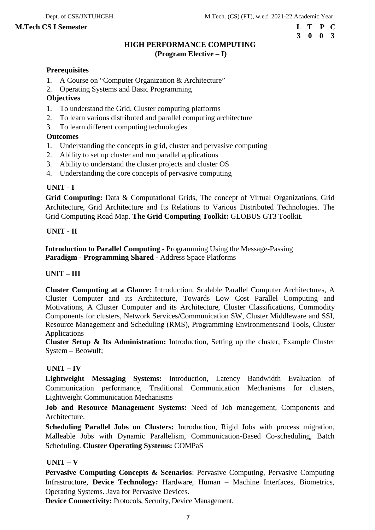# **3 0 0 3**

# **HIGH PERFORMANCE COMPUTING (Program Elective – I)**

#### **Prerequisites**

- 1. A Course on "Computer Organization & Architecture"
- 2. Operating Systems and Basic Programming

## **Objectives**

- 1. To understand the Grid, Cluster computing platforms
- 2. To learn various distributed and parallel computing architecture
- 3. To learn different computing technologies

# **Outcomes**

- 1. Understanding the concepts in grid, cluster and pervasive computing
- 2. Ability to set up cluster and run parallel applications
- 3. Ability to understand the cluster projects and cluster OS
- 4. Understanding the core concepts of pervasive computing

# **UNIT - I**

**Grid Computing:** Data & Computational Grids, The concept of Virtual Organizations, Grid Architecture, Grid Architecture and Its Relations to Various Distributed Technologies. The Grid Computing Road Map. **The Grid Computing Toolkit:** GLOBUS GT3 Toolkit.

## **UNIT - II**

**Introduction to Parallel Computing -** Programming Using the Message-Passing **Paradigm** - **Programming Shared -** Address Space Platforms

#### **UNIT – III**

**Cluster Computing at a Glance:** Introduction, Scalable Parallel Computer Architectures, A Cluster Computer and its Architecture, Towards Low Cost Parallel Computing and Motivations, A Cluster Computer and its Architecture, Cluster Classifications, Commodity Components for clusters, Network Services/Communication SW, Cluster Middleware and SSI, Resource Management and Scheduling (RMS), Programming Environmentsand Tools, Cluster Applications

**Cluster Setup & Its Administration:** Introduction, Setting up the cluster, Example Cluster System – Beowulf;

# **UNIT – IV**

**Lightweight Messaging Systems:** Introduction, Latency Bandwidth Evaluation of Communication performance, Traditional Communication Mechanisms for clusters, Lightweight Communication Mechanisms

**Job and Resource Management Systems:** Need of Job management, Components and Architecture.

**Scheduling Parallel Jobs on Clusters:** Introduction, Rigid Jobs with process migration, Malleable Jobs with Dynamic Parallelism, Communication-Based Co-scheduling, Batch Scheduling. **Cluster Operating Systems:** COMPaS

# $UNIT - V$

**Pervasive Computing Concepts & Scenarios**: Pervasive Computing, Pervasive Computing Infrastructure, **Device Technology:** Hardware, Human – Machine Interfaces, Biometrics, Operating Systems. Java for Pervasive Devices.

**Device Connectivity:** Protocols, Security, Device Management.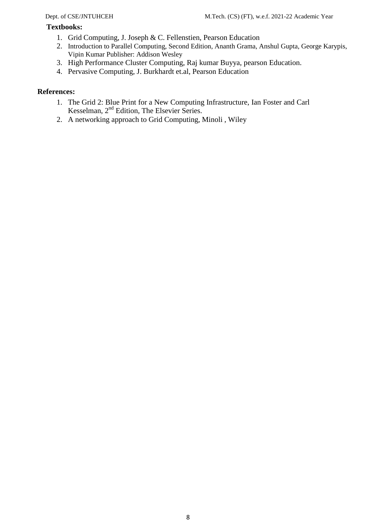# **Textbooks:**

- 1. Grid Computing, J. Joseph & C. Fellenstien, Pearson Education
- 2. Introduction to Parallel Computing, Second Edition, Ananth Grama, Anshul Gupta, George Karypis, Vipin Kumar Publisher: Addison Wesley
- 3. High Performance Cluster Computing, Raj kumar Buyya, pearson Education.
- 4. Pervasive Computing, J. Burkhardt et.al, Pearson Education

# **References:**

- 1. The Grid 2: Blue Print for a New Computing Infrastructure, Ian Foster and Carl Kesselman, 2nd Edition, The Elsevier Series.
- 2. A networking approach to Grid Computing, Minoli , Wiley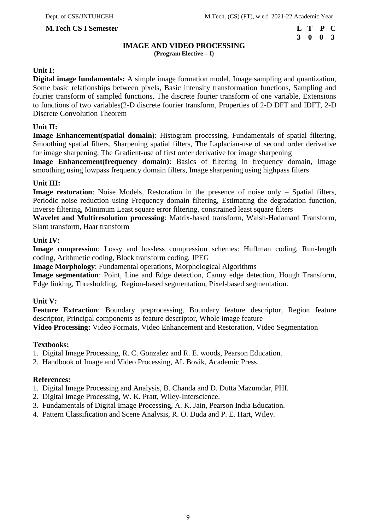# **3 0 0 3**

# **IMAGE AND VIDEO PROCESSING**

**(Program Elective – I)**

# **Unit I:**

**Digital image fundamentals:** A simple image formation model, Image sampling and quantization, Some basic relationships between pixels, Basic intensity transformation functions, Sampling and fourier transform of sampled functions, The discrete fourier transform of one variable, Extensions to functions of two variables(2-D discrete fourier transform, Properties of 2-D DFT and IDFT, 2-D Discrete Convolution Theorem

## **Unit II:**

**Image Enhancement(spatial domain)**: Histogram processing, Fundamentals of spatial filtering, Smoothing spatial filters, Sharpening spatial filters, The Laplacian-use of second order derivative for image sharpening, The Gradient-use of first order derivative for image sharpening

**Image Enhancement(frequency domain)**: Basics of filtering in frequency domain, Image smoothing using lowpass frequency domain filters, Image sharpening using highpass filters

## **Unit III:**

**Image restoration**: Noise Models, Restoration in the presence of noise only – Spatial filters, Periodic noise reduction using Frequency domain filtering, Estimating the degradation function, inverse filtering, Minimum Least square error filtering, constrained least square filters

**Wavelet and Multiresolution processing**: Matrix-based transform, Walsh-Hadamard Transform, Slant transform, Haar transform

## **Unit IV:**

Image compression: Lossy and lossless compression schemes: Huffman coding, Run-length coding, Arithmetic coding, Block transform coding, JPEG

**Image Morphology**: Fundamental operations, Morphological Algorithms

**Image segmentation**: Point, Line and Edge detection, Canny edge detection, Hough Transform, Edge linking, Thresholding, Region-based segmentation, Pixel-based segmentation.

#### **Unit V:**

**Feature Extraction**: Boundary preprocessing, Boundary feature descriptor, Region feature descriptor, Principal components as feature descriptor, Whole image feature

**Video Processing:** Video Formats, Video Enhancement and Restoration, Video Segmentation

#### **Textbooks:**

- 1. Digital Image Processing, R. C. Gonzalez and R. E. woods, Pearson Education.
- 2. Handbook of Image and Video Processing, AL Bovik, Academic Press.

#### **References:**

- 1. Digital Image Processing and Analysis, B. Chanda and D. Dutta Mazumdar, PHI.
- 2. Digital Image Processing, W. K. Pratt, Wiley-Interscience.
- 3. Fundamentals of Digital Image Processing, A. K. Jain, Pearson India Education.
- 4. Pattern Classification and Scene Analysis, R. O. Duda and P. E. Hart, Wiley.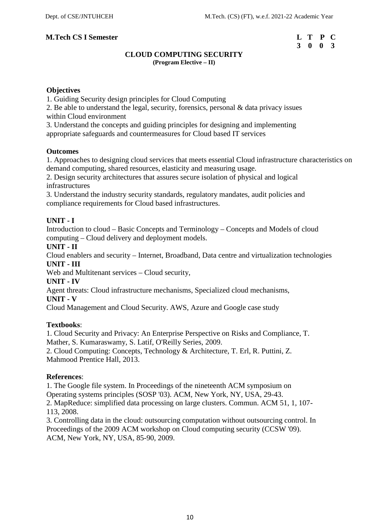# **3 0 0 3**

# **CLOUD COMPUTING SECURITY (Program Elective – II)**

# **Objectives**

1. Guiding Security design principles for Cloud Computing

2. Be able to understand the legal, security, forensics, personal & data privacy issues within Cloud environment

3. Understand the concepts and guiding principles for designing and implementing appropriate safeguards and countermeasures for Cloud based IT services

## **Outcomes**

1. Approaches to designing cloud services that meets essential Cloud infrastructure characteristics on demand computing, shared resources, elasticity and measuring usage.

2. Design security architectures that assures secure isolation of physical and logical infrastructures

3. Understand the industry security standards, regulatory mandates, audit policies and compliance requirements for Cloud based infrastructures.

# **UNIT - I**

Introduction to cloud – Basic Concepts and Terminology – Concepts and Models of cloud computing – Cloud delivery and deployment models.

**UNIT - II**

Cloud enablers and security – Internet, Broadband, Data centre and virtualization technologies **UNIT - III**

Web and Multitenant services – Cloud security,

**UNIT - IV**

Agent threats: Cloud infrastructure mechanisms, Specialized cloud mechanisms,

# **UNIT - V**

Cloud Management and Cloud Security. AWS, Azure and Google case study

# **Textbooks**:

1. Cloud Security and Privacy: An Enterprise Perspective on Risks and Compliance, T. Mather, S. Kumaraswamy, S. Latif, O'Reilly Series, 2009.

2. Cloud Computing: Concepts, Technology & Architecture, T. Erl, R. Puttini, Z. Mahmood Prentice Hall, 2013.

#### **References**:

1. The Google file system. In Proceedings of the nineteenth ACM symposium on Operating systems principles (SOSP '03). ACM, New York, NY, USA, 29-43. 2. MapReduce: simplified data processing on large clusters. Commun. ACM 51, 1, 107- 113, 2008.

3. Controlling data in the cloud: outsourcing computation without outsourcing control. In Proceedings of the 2009 ACM workshop on Cloud computing security (CCSW '09). ACM, New York, NY, USA, 85-90, 2009.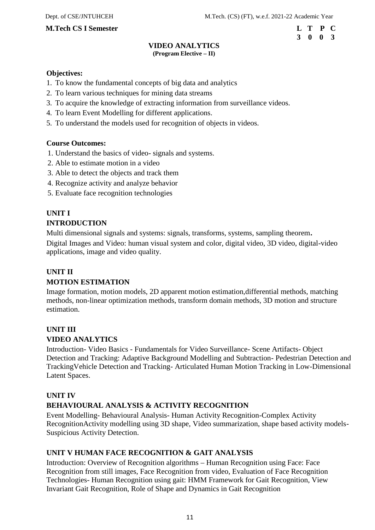# **3 0 0 3**

#### **VIDEO ANALYTICS (Program Elective – II)**

#### **Objectives:**

- 1. To know the fundamental concepts of big data and analytics
- 2. To learn various techniques for mining data streams
- 3. To acquire the knowledge of extracting information from surveillance videos.
- 4. To learn Event Modelling for different applications.
- 5. To understand the models used for recognition of objects in videos.

## **Course Outcomes:**

- 1. Understand the basics of video- signals and systems.
- 2. Able to estimate motion in a video
- 3. Able to detect the objects and track them
- 4. Recognize activity and analyze behavior
- 5. Evaluate face recognition technologies

# **UNIT I**

## **INTRODUCTION**

Multi dimensional signals and systems: signals, transforms, systems, sampling theorem**.** Digital Images and Video: human visual system and color, digital video, 3D video, digital-video applications, image and video quality.

# **UNIT II**

# **MOTION ESTIMATION**

Image formation, motion models, 2D apparent motion estimation,differential methods, matching methods, non-linear optimization methods, transform domain methods, 3D motion and structure estimation.

# **UNIT III VIDEO ANALYTICS**

Introduction- Video Basics - Fundamentals for Video Surveillance- Scene Artifacts- Object Detection and Tracking: Adaptive Background Modelling and Subtraction- Pedestrian Detection and TrackingVehicle Detection and Tracking- Articulated Human Motion Tracking in Low-Dimensional Latent Spaces.

# **UNIT IV**

# **BEHAVIOURAL ANALYSIS & ACTIVITY RECOGNITION**

Event Modelling- Behavioural Analysis- Human Activity Recognition-Complex Activity RecognitionActivity modelling using 3D shape, Video summarization, shape based activity models- Suspicious Activity Detection.

### **UNIT V HUMAN FACE RECOGNITION & GAIT ANALYSIS**

Introduction: Overview of Recognition algorithms – Human Recognition using Face: Face Recognition from still images, Face Recognition from video, Evaluation of Face Recognition Technologies- Human Recognition using gait: HMM Framework for Gait Recognition, View Invariant Gait Recognition, Role of Shape and Dynamics in Gait Recognition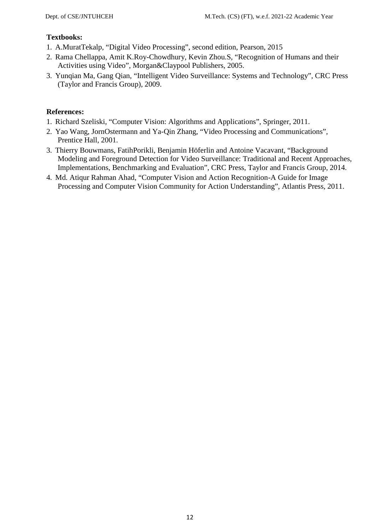# **Textbooks:**

- 1. A.MuratTekalp, "Digital Video Processing", second edition, Pearson, 2015
- 2. Rama Chellappa, Amit K.Roy-Chowdhury, Kevin Zhou.S, "Recognition of Humans and their Activities using Video", Morgan&Claypool Publishers, 2005.
- 3. Yunqian Ma, Gang Qian, "Intelligent Video Surveillance: Systems and Technology", CRC Press (Taylor and Francis Group), 2009.

# **References:**

- 1. Richard Szeliski, "Computer Vision: Algorithms and Applications", Springer, 2011.
- 2. Yao Wang, JornOstermann and Ya-Qin Zhang, "Video Processing and Communications", Prentice Hall, 2001.
- 3. Thierry Bouwmans, FatihPorikli, Benjamin Höferlin and Antoine Vacavant, "Background Modeling and Foreground Detection for Video Surveillance: Traditional and Recent Approaches, Implementations, Benchmarking and Evaluation", CRC Press, Taylor and Francis Group, 2014.
- 4. Md. Atiqur Rahman Ahad, "Computer Vision and Action Recognition-A Guide for Image Processing and Computer Vision Community for Action Understanding", Atlantis Press, 2011.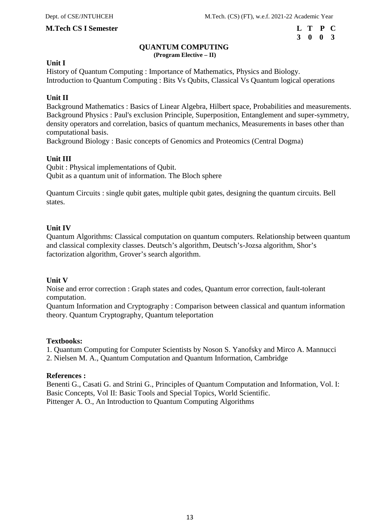# **3 0 0 3**

#### **QUANTUM COMPUTING (Program Elective – II)**

#### **Unit I**

History of Quantum Computing : Importance of Mathematics, Physics and Biology. Introduction to Quantum Computing : Bits Vs Qubits, Classical Vs Quantum logical operations

#### **Unit II**

Background Mathematics : Basics of Linear Algebra, Hilbert space, Probabilities and measurements. Background Physics : Paul's exclusion Principle, Superposition, Entanglement and super-symmetry, density operators and correlation, basics of quantum mechanics, Measurements in bases other than computational basis.

Background Biology : Basic concepts of Genomics and Proteomics (Central Dogma)

#### **Unit III**

Qubit : Physical implementations of Qubit. Qubit as a quantum unit of information. The Bloch sphere

Quantum Circuits : single qubit gates, multiple qubit gates, designing the quantum circuits. Bell states.

#### **Unit IV**

Quantum Algorithms: Classical computation on quantum computers. Relationship between quantum and classical complexity classes. Deutsch's algorithm, Deutsch's-Jozsa algorithm, Shor's factorization algorithm, Grover's search algorithm.

#### **Unit V**

Noise and error correction : Graph states and codes, Quantum error correction, fault-tolerant computation.

Quantum Information and Cryptography : Comparison between classical and quantum information theory. Quantum Cryptography, Quantum teleportation

#### **Textbooks:**

1. Quantum Computing for Computer Scientists by Noson S. Yanofsky and Mirco A. Mannucci 2. Nielsen M. A., Quantum Computation and Quantum Information, Cambridge

#### **References :**

Benenti G., Casati G. and Strini G., Principles of Quantum Computation and Information, Vol. I: Basic Concepts, Vol II: Basic Tools and Special Topics, World Scientific. Pittenger A. O., An Introduction to Quantum Computing Algorithms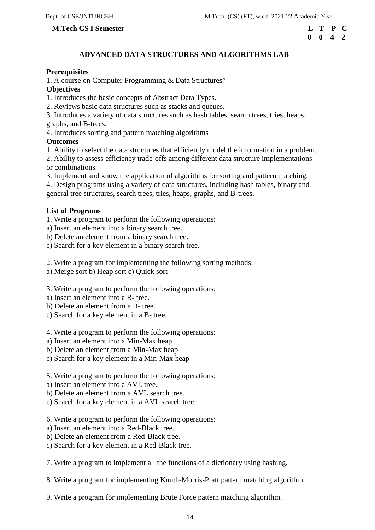#### **M.Tech CS I Semester**

| L T P C            |  |  |
|--------------------|--|--|
| $0 \t 0 \t 4 \t 2$ |  |  |

# **ADVANCED DATA STRUCTURES AND ALGORITHMS LAB**

#### **Prerequisites**

1. A course on Computer Programming & Data Structures"

#### **Objectives**

1. Introduces the basic concepts of Abstract Data Types.

2. Reviews basic data structures such as stacks and queues.

3. Introduces a variety of data structures such as hash tables, search trees, tries, heaps, graphs, and B-trees.

4. Introduces sorting and pattern matching algorithms

### **Outcomes**

1. Ability to select the data structures that efficiently model the information in a problem.

2. Ability to assess efficiency trade-offs among different data structure implementations or combinations.

3. Implement and know the application of algorithms for sorting and pattern matching.

4. Design programs using a variety of data structures, including hash tables, binary and general tree structures, search trees, tries, heaps, graphs, and B-trees.

#### **List of Programs**

1. Write a program to perform the following operations:

a) Insert an element into a binary search tree.

b) Delete an element from a binary search tree.

c) Search for a key element in a binary search tree.

2. Write a program for implementing the following sorting methods:

a) Merge sort b) Heap sort c) Quick sort

3. Write a program to perform the following operations:

a) Insert an element into a B- tree.

- b) Delete an element from a B- tree.
- c) Search for a key element in a B- tree.

4. Write a program to perform the following operations:

a) Insert an element into a Min-Max heap

b) Delete an element from a Min-Max heap

c) Search for a key element in a Min-Max heap

5. Write a program to perform the following operations:

a) Insert an element into a AVL tree.

b) Delete an element from a AVL search tree.

c) Search for a key element in a AVL search tree.

6. Write a program to perform the following operations:

- a) Insert an element into a Red-Black tree.
- b) Delete an element from a Red-Black tree.
- c) Search for a key element in a Red-Black tree.

7. Write a program to implement all the functions of a dictionary using hashing.

8. Write a program for implementing Knuth-Morris-Pratt pattern matching algorithm.

9. Write a program for implementing Brute Force pattern matching algorithm.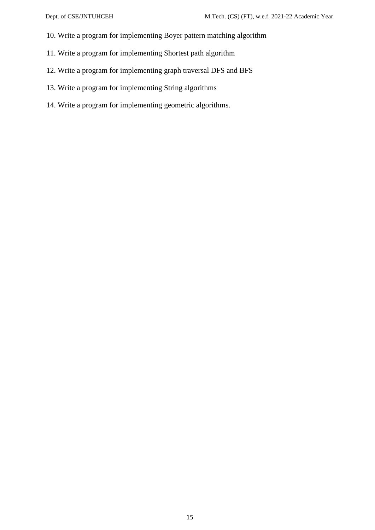- 10. Write a program for implementing Boyer pattern matching algorithm
- 11. Write a program for implementing Shortest path algorithm
- 12. Write a program for implementing graph traversal DFS and BFS
- 13. Write a program for implementing String algorithms
- 14. Write a program for implementing geometric algorithms.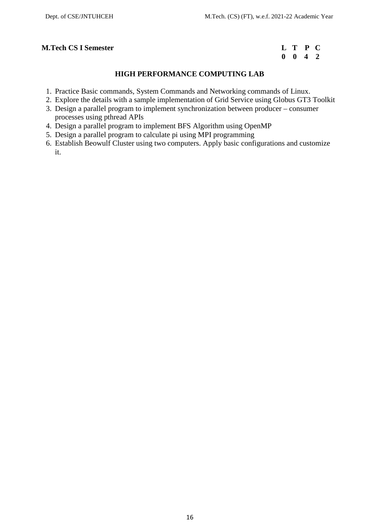# **0 0 4 2**

# **HIGH PERFORMANCE COMPUTING LAB**

- 1. Practice Basic commands, System Commands and Networking commands of Linux.
- 2. Explore the details with a sample implementation of Grid Service using Globus GT3 Toolkit
- 3. Design a parallel program to implement synchronization between producer consumer processes using pthread APIs
- 4. Design a parallel program to implement BFS Algorithm using OpenMP
- 5. Design a parallel program to calculate pi using MPI programming
- 6. Establish Beowulf Cluster using two computers. Apply basic configurations and customize it.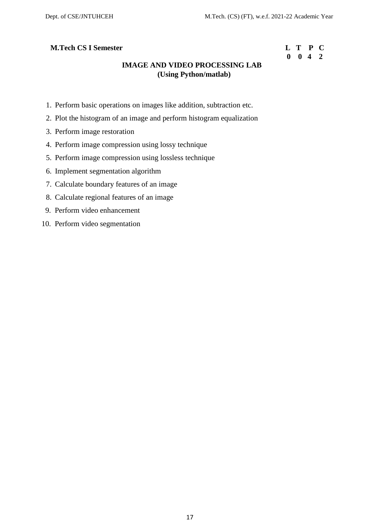# **0 0 4 2**

# **IMAGE AND VIDEO PROCESSING LAB (Using Python/matlab)**

- 1. Perform basic operations on images like addition, subtraction etc.
- 2. Plot the histogram of an image and perform histogram equalization
- 3. Perform image restoration
- 4. Perform image compression using lossy technique
- 5. Perform image compression using lossless technique
- 6. Implement segmentation algorithm
- 7. Calculate boundary features of an image
- 8. Calculate regional features of an image
- 9. Perform video enhancement
- 10. Perform video segmentation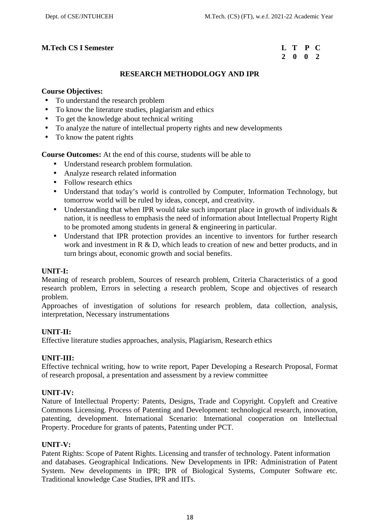# **2 0 0 2**

# **RESEARCH METHODOLOGY AND IPR**

#### **Course Objectives:**

- To understand the research problem
- To know the literature studies, plagiarism and ethics
- To get the knowledge about technical writing
- To analyze the nature of intellectual property rights and new developments
- To know the patent rights

**Course Outcomes:** At the end of this course, students will be able to

- Understand research problem formulation.
- Analyze research related information
- Follow research ethics
- Understand that today's world is controlled by Computer, Information Technology, but tomorrow world will be ruled by ideas, concept, and creativity.
- Understanding that when IPR would take such important place in growth of individuals  $\&$ nation, it is needless to emphasis the need of information about Intellectual Property Right to be promoted among students in general & engineering in particular.
- Understand that IPR protection provides an incentive to inventors for further research work and investment in R & D, which leads to creation of new and better products, and in turn brings about, economic growth and social benefits.

# **UNIT-I:**

Meaning of research problem, Sources of research problem, Criteria Characteristics of a good research problem, Errors in selecting a research problem, Scope and objectives of research problem.

Approaches of investigation of solutions for research problem, data collection, analysis, interpretation, Necessary instrumentations

#### **UNIT-II:**

Effective literature studies approaches, analysis, Plagiarism, Research ethics

#### **UNIT-III:**

Effective technical writing, how to write report, Paper Developing a Research Proposal, Format of research proposal, a presentation and assessment by a review committee

#### **UNIT-IV:**

Nature of Intellectual Property: Patents, Designs, Trade and Copyright. Copyleft and Creative Commons Licensing. Process of Patenting and Development: technological research, innovation, patenting, development. International Scenario: International cooperation on Intellectual Property. Procedure for grants of patents, Patenting under PCT.

#### **UNIT-V:**

Patent Rights: Scope of Patent Rights. Licensing and transfer of technology. Patent information and databases. Geographical Indications. New Developments in IPR: Administration of Patent System. New developments in IPR; IPR of Biological Systems, Computer Software etc. Traditional knowledge Case Studies, IPR and IITs.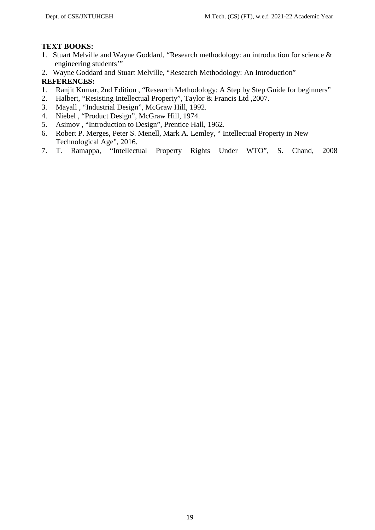# **TEXT BOOKS:**

- 1. Stuart Melville and Wayne Goddard, "Research methodology: an introduction for science & engineering students'"
- 2. Wayne Goddard and Stuart Melville, "Research Methodology: An Introduction" **REFERENCES:**
- 1. Ranjit Kumar, 2nd Edition , "Research Methodology: A Step by Step Guide for beginners"
- 2. Halbert, "Resisting Intellectual Property", Taylor & Francis Ltd ,2007.
- 3. Mayall , "Industrial Design", McGraw Hill, 1992.
- 4. Niebel , "Product Design", McGraw Hill, 1974.
- 5. Asimov , "Introduction to Design", Prentice Hall, 1962.
- 6. Robert P. Merges, Peter S. Menell, Mark A. Lemley, " Intellectual Property in New Technological Age", 2016.
- 7. T. Ramappa, "Intellectual Property Rights Under WTO", S. Chand, 2008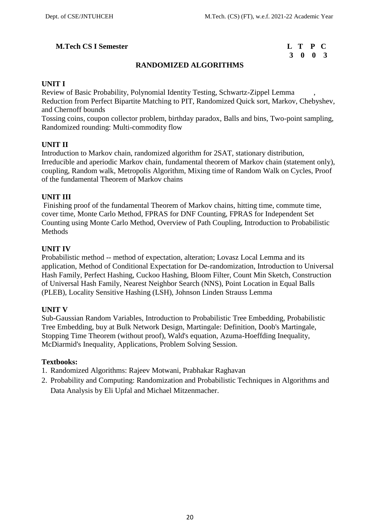# **3 0 0 3**

# **RANDOMIZED ALGORITHMS**

## **UNIT I**

Review of Basic Probability, Polynomial Identity Testing, Schwartz-Zippel Lemma , Reduction from Perfect Bipartite Matching to PIT, Randomized Quick sort, Markov, Chebyshev, and Chernoff bounds

Tossing coins, coupon collector problem, birthday paradox, Balls and bins, Two-point sampling, Randomized rounding: Multi-commodity flow

## **UNIT II**

Introduction to Markov chain, randomized algorithm for 2SAT, stationary distribution, Irreducible and aperiodic Markov chain, fundamental theorem of Markov chain (statement only), coupling, Random walk, Metropolis Algorithm, Mixing time of Random Walk on Cycles, Proof of the fundamental Theorem of Markov chains

# **UNIT III**

Finishing proof of the fundamental Theorem of Markov chains, hitting time, commute time, cover time, Monte Carlo Method, FPRAS for DNF Counting, FPRAS for Independent Set Counting using Monte Carlo Method, Overview of Path Coupling, Introduction to Probabilistic Methods

## **UNIT IV**

Probabilistic method -- method of expectation, alteration; Lovasz Local Lemma and its application, Method of Conditional Expectation for De-randomization, Introduction to Universal Hash Family, Perfect Hashing, Cuckoo Hashing, Bloom Filter, Count Min Sketch, Construction of Universal Hash Family, Nearest Neighbor Search (NNS), Point Location in Equal Balls (PLEB), Locality Sensitive Hashing (LSH), Johnson Linden Strauss Lemma

# **UNIT V**

Sub-Gaussian Random Variables, Introduction to Probabilistic Tree Embedding, Probabilistic Tree Embedding, buy at Bulk Network Design, Martingale: Definition, Doob's Martingale, Stopping Time Theorem (without proof), Wald's equation, Azuma-Hoeffding Inequality, McDiarmid's Inequality, Applications, Problem Solving Session.

#### **Textbooks:**

- 1. Randomized Algorithms: Rajeev Motwani, Prabhakar Raghavan
- 2. Probability and Computing: Randomization and Probabilistic Techniques in Algorithms and Data Analysis by Eli Upfal and Michael Mitzenmacher.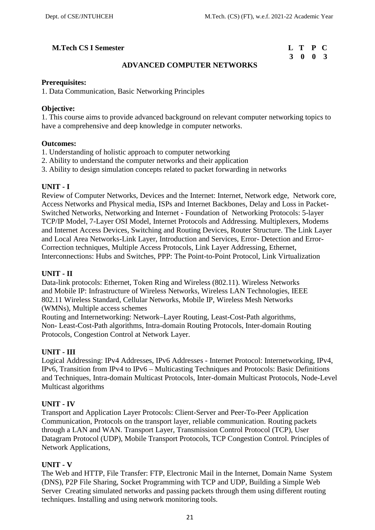# **M.Tech CS I Semester**

| L T P C |  |  |
|---------|--|--|
| 3 0 0 3 |  |  |

# **ADVANCED COMPUTER NETWORKS**

#### **Prerequisites:**

1. Data Communication, Basic Networking Principles

# **Objective:**

1. This course aims to provide advanced background on relevant computer networking topics to have a comprehensive and deep knowledge in computer networks.

#### **Outcomes:**

- 1. Understanding of holistic approach to computer networking
- 2. Ability to understand the computer networks and their application
- 3. Ability to design simulation concepts related to packet forwarding in networks

## **UNIT - I**

Review of Computer Networks, Devices and the Internet: Internet, Network edge, Network core, Access Networks and Physical media, ISPs and Internet Backbones, Delay and Loss in Packet- Switched Networks, Networking and Internet - Foundation of Networking Protocols: 5-layer TCP/IP Model, 7-Layer OSI Model, Internet Protocols and Addressing. Multiplexers, Modems and Internet Access Devices, Switching and Routing Devices, Router Structure. The Link Layer and Local Area Networks-Link Layer, Introduction and Services, Error- Detection and Error- Correction techniques, Multiple Access Protocols, Link Layer Addressing, Ethernet, Interconnections: Hubs and Switches, PPP: The Point-to-Point Protocol, Link Virtualization

# **UNIT - II**

Data-link protocols: Ethernet, Token Ring and Wireless (802.11). Wireless Networks and Mobile IP: Infrastructure of Wireless Networks, Wireless LAN Technologies, IEEE 802.11 Wireless Standard, Cellular Networks, Mobile IP, Wireless Mesh Networks (WMNs), Multiple access schemes

Routing and Internetworking: Network–Layer Routing, Least-Cost-Path algorithms, Non- Least-Cost-Path algorithms, Intra-domain Routing Protocols, Inter-domain Routing Protocols, Congestion Control at Network Layer.

# **UNIT - III**

Logical Addressing: IPv4 Addresses, IPv6 Addresses - Internet Protocol: Internetworking, IPv4, IPv6, Transition from IPv4 to IPv6 – Multicasting Techniques and Protocols: Basic Definitions and Techniques, Intra-domain Multicast Protocols, Inter-domain Multicast Protocols, Node-Level Multicast algorithms

# **UNIT - IV**

Transport and Application Layer Protocols: Client-Server and Peer-To-Peer Application Communication, Protocols on the transport layer, reliable communication. Routing packets through a LAN and WAN. Transport Layer, Transmission Control Protocol (TCP), User Datagram Protocol (UDP), Mobile Transport Protocols, TCP Congestion Control. Principles of Network Applications,

# **UNIT - V**

The Web and HTTP, File Transfer: FTP, Electronic Mail in the Internet, Domain Name System (DNS), P2P File Sharing, Socket Programming with TCP and UDP, Building a Simple Web Server Creating simulated networks and passing packets through them using different routing techniques. Installing and using network monitoring tools.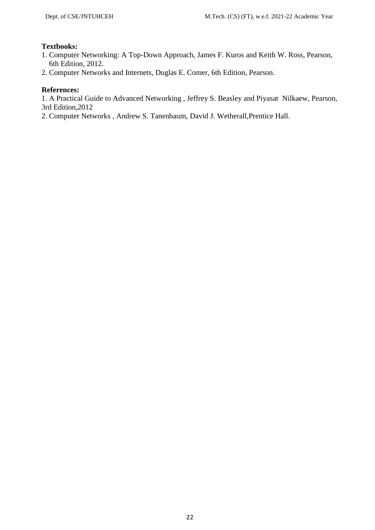# **Textbooks:**

- 1. Computer Networking: A Top-Down Approach, James F. Kuros and Keith W. Ross, Pearson, 6th Edition, 2012.
- 2. Computer Networks and Internets, Duglas E. Comer, 6th Edition, Pearson.

# **References:**

1. A Practical Guide to Advanced Networking , Jeffrey S. Beasley and Piyasat Nilkaew, Pearson, 3rd Edition,2012

2. Computer Networks , Andrew S. Tanenbaum, David J. Wetherall,Prentice Hall.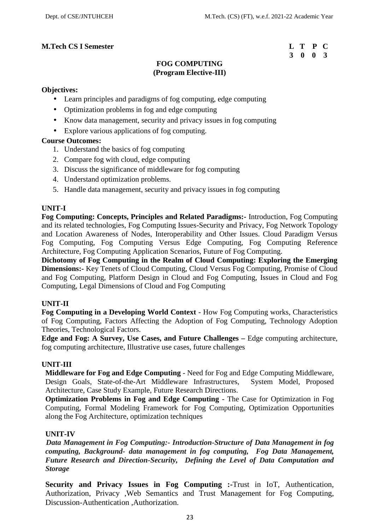# **3 0 0 3**

# **FOG COMPUTING (Program Elective-III)**

#### **Objectives:**

- Learn principles and paradigms of fog computing, edge computing
- Optimization problems in fog and edge computing
- Know data management, security and privacy issues in fog computing
- Explore various applications of fog computing.

## **Course Outcomes:**

- 1. Understand the basics of fog computing
- 2. Compare fog with cloud, edge computing
- 3. Discuss the significance of middleware for fog computing
- 4. Understand optimization problems.
- 5. Handle data management, security and privacy issues in fog computing

# **UNIT-I**

**Fog Computing: Concepts, Principles and Related Paradigms:-** Introduction, Fog Computing and its related technologies, Fog Computing Issues-Security and Privacy, Fog Network Topology and Location Awareness of Nodes, Interoperability and Other Issues. Cloud Paradigm Versus Fog Computing, Fog Computing Versus Edge Computing, Fog Computing Reference Architecture, Fog Computing Application Scenarios, Future of Fog Computing.

**Dichotomy of Fog Computing in the Realm of Cloud Computing: Exploring the Emerging Dimensions:-** Key Tenets of Cloud Computing, Cloud Versus Fog Computing, Promise of Cloud and Fog Computing, Platform Design in Cloud and Fog Computing, Issues in Cloud and Fog Computing, Legal Dimensions of Cloud and Fog Computing

# **UNIT-II**

**Fog Computing in a Developing World Context** - How Fog Computing works, Characteristics of Fog Computing, Factors Affecting the Adoption of Fog Computing, Technology Adoption Theories, Technological Factors.

**Edge and Fog: A Survey, Use Cases, and Future Challenges –** Edge computing architecture, fog computing architecture, Illustrative use cases, future challenges

#### **UNIT-III**

**Middleware for Fog and Edge Computing** - Need for Fog and Edge Computing Middleware, Design Goals, State-of-the-Art Middleware Infrastructures, System Model, Proposed Architecture, Case Study Example, Future Research Directions.

**Optimization Problems in Fog and Edge Computing** - The Case for Optimization in Fog Computing, Formal Modeling Framework for Fog Computing, Optimization Opportunities along the Fog Architecture, optimization techniques

# **UNIT-IV**

*Data Management in Fog Computing:- Introduction-Structure of Data Management in fog computing, Background- data management in fog computing, Fog Data Management, Future Research and Direction-Security, Defining the Level of Data Computation and Storage*

**Security and Privacy Issues in Fog Computing :-**Trust in IoT, Authentication, Authorization, Privacy ,Web Semantics and Trust Management for Fog Computing, Discussion-Authentication ,Authorization.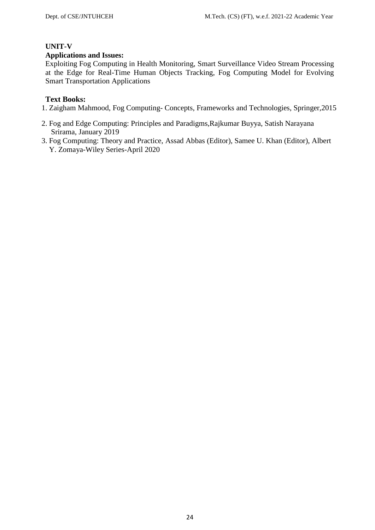# **UNIT-V**

# **Applications and Issues:**

Exploiting Fog Computing in Health Monitoring, Smart Surveillance Video Stream Processing at the Edge for Real-Time Human Objects Tracking, Fog Computing Model for Evolving Smart Transportation Applications

# **Text Books:**

- 1. Zaigham Mahmood, Fog Computing- Concepts, Frameworks and Technologies, Springer,2015
- 2. Fog and Edge Computing: Principles and Paradigms,Rajkumar Buyya, Satish Narayana Srirama, January 2019
- 3. Fog Computing: Theory and Practice, Assad Abbas (Editor), Samee U. Khan (Editor), Albert Y. Zomaya-Wiley Series-April 2020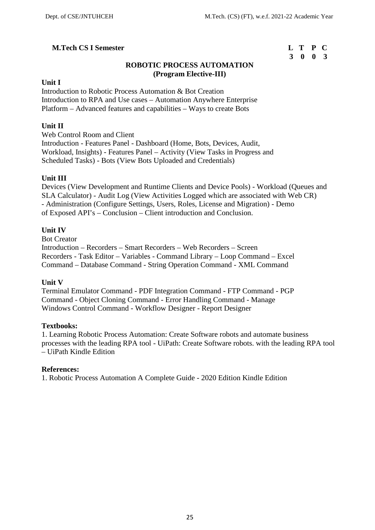# **3 0 0 3**

# **ROBOTIC PROCESS AUTOMATION (Program Elective-III)**

#### **Unit I**

Introduction to Robotic Process Automation & Bot Creation Introduction to RPA and Use cases – Automation Anywhere Enterprise Platform – Advanced features and capabilities – Ways to create Bots

# **Unit II**

Web Control Room and Client Introduction - Features Panel - Dashboard (Home, Bots, Devices, Audit, Workload, Insights) - Features Panel – Activity (View Tasks in Progress and Scheduled Tasks) - Bots (View Bots Uploaded and Credentials)

# **Unit III**

Devices (View Development and Runtime Clients and Device Pools) - Workload (Queues and SLA Calculator) - Audit Log (View Activities Logged which are associated with Web CR) - Administration (Configure Settings, Users, Roles, License and Migration) - Demo of Exposed API's – Conclusion – Client introduction and Conclusion.

## **Unit IV**

Bot Creator Introduction – Recorders – Smart Recorders – Web Recorders – Screen Recorders - Task Editor – Variables - Command Library – Loop Command – Excel Command – Database Command - String Operation Command - XML Command

#### **Unit V**

Terminal Emulator Command - PDF Integration Command - FTP Command - PGP Command - Object Cloning Command - Error Handling Command - Manage Windows Control Command - Workflow Designer - Report Designer

#### **Textbooks:**

1. Learning Robotic Process Automation: Create Software robots and automate business processes with the leading RPA tool - UiPath: Create Software robots. with the leading RPA tool – UiPath Kindle Edition

#### **References:**

1. Robotic Process Automation A Complete Guide - 2020 Edition Kindle Edition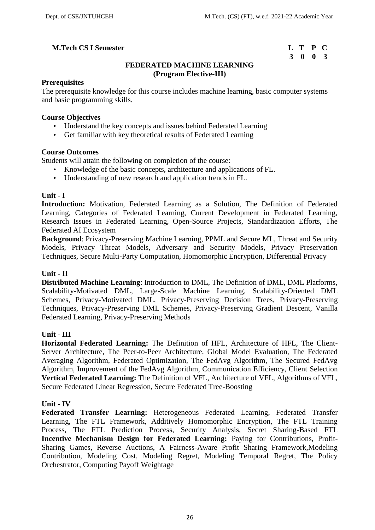# **M.Tech CS I Semester**

| L T P C |  |  |
|---------|--|--|
| 3 0 0 3 |  |  |

# **FEDERATED MACHINE LEARNING (Program Elective-III)**

#### **Prerequisites**

The prerequisite knowledge for this course includes machine learning, basic computer systems and basic programming skills.

#### **Course Objectives**

- Understand the key concepts and issues behind Federated Learning
- Get familiar with key theoretical results of Federated Learning

#### **Course Outcomes**

Students will attain the following on completion of the course:

- Knowledge of the basic concepts, architecture and applications of FL.
- Understanding of new research and application trends in FL.

## **Unit - I**

**Introduction:** Motivation, Federated Learning as a Solution, The Definition of Federated Learning, Categories of Federated Learning, Current Development in Federated Learning, Research Issues in Federated Learning, Open-Source Projects, Standardization Efforts, The Federated AI Ecosystem

**Background**: Privacy-Preserving Machine Learning, PPML and Secure ML, Threat and Security Models, Privacy Threat Models, Adversary and Security Models, Privacy Preservation Techniques, Secure Multi-Party Computation, Homomorphic Encryption, Differential Privacy

#### **Unit - II**

**Distributed Machine Learning**: Introduction to DML, The Definition of DML, DML Platforms, Scalability-Motivated DML, Large-Scale Machine Learning, Scalability-Oriented DML Schemes, Privacy-Motivated DML, Privacy-Preserving Decision Trees, Privacy-Preserving Techniques, Privacy-Preserving DML Schemes, Privacy-Preserving Gradient Descent, Vanilla Federated Learning, Privacy-Preserving Methods

#### **Unit - III**

**Horizontal Federated Learning:** The Definition of HFL, Architecture of HFL, The Client- Server Architecture, The Peer-to-Peer Architecture, Global Model Evaluation, The Federated Averaging Algorithm, Federated Optimization, The FedAvg Algorithm, The Secured FedAvg Algorithm, Improvement of the FedAvg Algorithm, Communication Efficiency, Client Selection **Vertical Federated Learning:** The Definition of VFL, Architecture of VFL, Algorithms of VFL, Secure Federated Linear Regression, Secure Federated Tree-Boosting

#### **Unit - IV**

**Federated Transfer Learning:** Heterogeneous Federated Learning, Federated Transfer Learning, The FTL Framework, Additively Homomorphic Encryption, The FTL Training Process, The FTL Prediction Process, Security Analysis, Secret Sharing-Based FTL **Incentive Mechanism Design for Federated Learning:** Paying for Contributions, Profit- Sharing Games, Reverse Auctions, A Fairness-Aware Profit Sharing Framework,Modeling Contribution, Modeling Cost, Modeling Regret, Modeling Temporal Regret, The Policy Orchestrator, Computing Payoff Weightage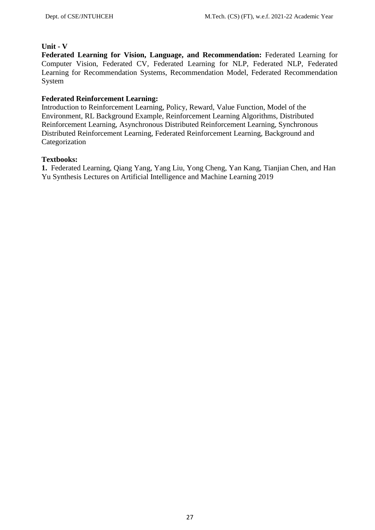#### **Unit - V**

**Federated Learning for Vision, Language, and Recommendation:** Federated Learning for Computer Vision, Federated CV, Federated Learning for NLP, Federated NLP, Federated Learning for Recommendation Systems, Recommendation Model, Federated Recommendation System

# **Federated Reinforcement Learning:**

Introduction to Reinforcement Learning, Policy, Reward, Value Function, Model of the Environment, RL Background Example, Reinforcement Learning Algorithms, Distributed Reinforcement Learning, Asynchronous Distributed Reinforcement Learning, Synchronous Distributed Reinforcement Learning, Federated Reinforcement Learning, Background and Categorization

## **Textbooks:**

**1.** Federated Learning, Qiang Yang, Yang Liu, Yong Cheng, Yan Kang, Tianjian Chen, and Han Yu Synthesis Lectures on Artificial Intelligence and Machine Learning 2019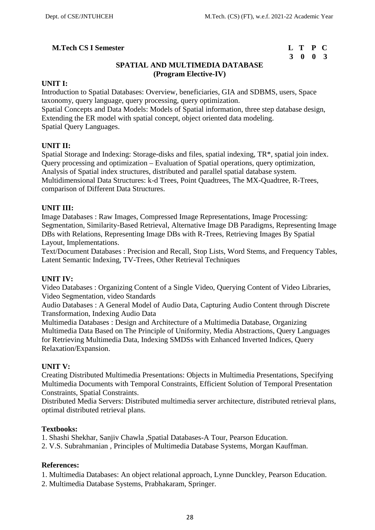# **3 0 0 3**

# **SPATIAL AND MULTIMEDIA DATABASE (Program Elective-IV)**

## **UNIT I:**

Introduction to Spatial Databases: Overview, beneficiaries, GIA and SDBMS, users, Space taxonomy, query language, query processing, query optimization. Spatial Concepts and Data Models: Models of Spatial information, three step database design, Extending the ER model with spatial concept, object oriented data modeling. Spatial Query Languages.

## **UNIT II:**

Spatial Storage and Indexing: Storage-disks and files, spatial indexing, TR\*, spatial join index. Query processing and optimization – Evaluation of Spatial operations, query optimization, Analysis of Spatial index structures, distributed and parallel spatial database system. Multidimensional Data Structures: k-d Trees, Point Quadtrees, The MX-Quadtree, R-Trees, comparison of Different Data Structures.

## **UNIT III:**

Image Databases : Raw Images, Compressed Image Representations, Image Processing: Segmentation, Similarity-Based Retrieval, Alternative Image DB Paradigms, Representing Image DBs with Relations, Representing Image DBs with R-Trees, Retrieving Images By Spatial Layout, Implementations.

Text/Document Databases : Precision and Recall, Stop Lists, Word Stems, and Frequency Tables, Latent Semantic Indexing, TV-Trees, Other Retrieval Techniques

#### **UNIT IV:**

Video Databases : Organizing Content of a Single Video, Querying Content of Video Libraries, Video Segmentation, video Standards

Audio Databases : A General Model of Audio Data, Capturing Audio Content through Discrete Transformation, Indexing Audio Data

Multimedia Databases : Design and Architecture of a Multimedia Database, Organizing Multimedia Data Based on The Principle of Uniformity, Media Abstractions, Query Languages for Retrieving Multimedia Data, Indexing SMDSs with Enhanced Inverted Indices, Query Relaxation/Expansion.

#### **UNIT V:**

Creating Distributed Multimedia Presentations: Objects in Multimedia Presentations, Specifying Multimedia Documents with Temporal Constraints, Efficient Solution of Temporal Presentation Constraints, Spatial Constraints.

Distributed Media Servers: Distributed multimedia server architecture, distributed retrieval plans, optimal distributed retrieval plans.

# **Textbooks:**

1. Shashi Shekhar, Sanjiv Chawla ,Spatial Databases-A Tour, Pearson Education.

2. V.S. Subrahmanian , Principles of Multimedia Database Systems, Morgan Kauffman.

#### **References:**

1. Multimedia Databases: An object relational approach, Lynne Dunckley, Pearson Education.

2. Multimedia Database Systems, Prabhakaram, Springer.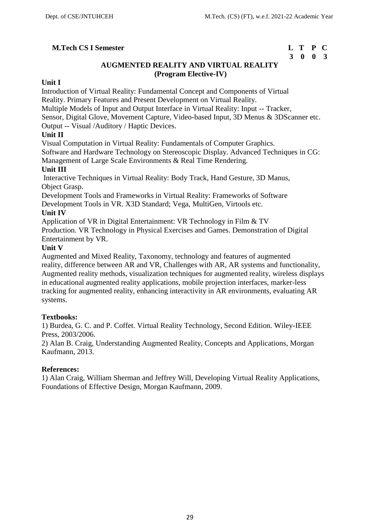# **3 0 0 3**

# **AUGMENTED REALITY AND VIRTUAL REALITY (Program Elective-IV)**

## **Unit I**

Introduction of Virtual Reality: Fundamental Concept and Components of Virtual Reality. Primary Features and Present Development on Virtual Reality.

Multiple Models of Input and Output Interface in Virtual Reality: Input -- Tracker,

Sensor, Digital Glove, Movement Capture, Video-based Input, 3D Menus & 3DScanner etc.

Output -- Visual /Auditory / Haptic Devices.

# **Unit II**

Visual Computation in Virtual Reality: Fundamentals of Computer Graphics.

Software and Hardware Technology on Stereoscopic Display. Advanced Techniques in CG:

Management of Large Scale Environments & Real Time Rendering.

# **Unit III**

Interactive Techniques in Virtual Reality: Body Track, Hand Gesture, 3D Manus, Object Grasp.

Development Tools and Frameworks in Virtual Reality: Frameworks of Software Development Tools in VR. X3D Standard; Vega, MultiGen, Virtools etc.

# **Unit IV**

Application of VR in Digital Entertainment: VR Technology in Film & TV Production. VR Technology in Physical Exercises and Games. Demonstration of Digital Entertainment by VR.

## **Unit V**

Augmented and Mixed Reality, Taxonomy, technology and features of augmented reality, difference between AR and VR, Challenges with AR, AR systems and functionality, Augmented reality methods, visualization techniques for augmented reality, wireless displays in educational augmented reality applications, mobile projection interfaces, marker-less tracking for augmented reality, enhancing interactivity in AR environments, evaluating AR systems.

# **Textbooks:**

1) Burdea, G. C. and P. Coffet. Virtual Reality Technology, Second Edition. Wiley-IEEE Press, 2003/2006.

2) Alan B. Craig, Understanding Augmented Reality, Concepts and Applications, Morgan Kaufmann, 2013.

# **References:**

1) Alan Craig, William Sherman and Jeffrey Will, Developing Virtual Reality Applications, Foundations of Effective Design, Morgan Kaufmann, 2009.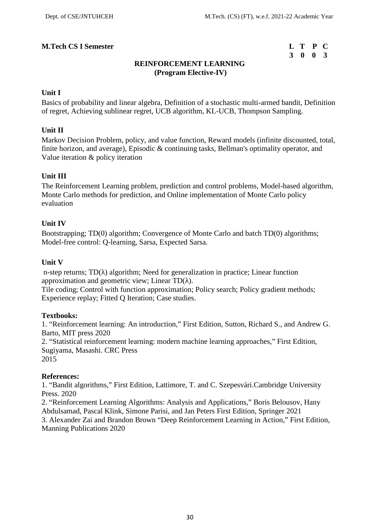# **3 0 0 3**

# **REINFORCEMENT LEARNING (Program Elective-IV)**

## **Unit I**

Basics of probability and linear algebra, Definition of a stochastic multi-armed bandit, Definition of regret, Achieving sublinear regret, UCB algorithm, KL-UCB, Thompson Sampling.

#### **Unit II**

Markov Decision Problem, policy, and value function, Reward models (infinite discounted, total, finite horizon, and average), Episodic & continuing tasks, Bellman's optimality operator, and Value iteration & policy iteration

## **Unit III**

The Reinforcement Learning problem, prediction and control problems, Model-based algorithm, Monte Carlo methods for prediction, and Online implementation of Monte Carlo policy evaluation

## **Unit IV**

Bootstrapping; TD(0) algorithm; Convergence of Monte Carlo and batch TD(0) algorithms; Model-free control: Q-learning, Sarsa, Expected Sarsa.

## **Unit V**

n-step returns; TD() algorithm; Need for generalization in practice; Linear function approximation and geometric view; Linear TD().

Tile coding; Control with function approximation; Policy search; Policy gradient methods; Experience replay; Fitted Q Iteration; Case studies.

#### **Textbooks:**

1. "Reinforcement learning: An introduction," First Edition, Sutton, Richard S., and Andrew G. Barto, MIT press 2020

2. "Statistical reinforcement learning: modern machine learning approaches," First Edition, Sugiyama, Masashi. CRC Press

2015

#### **References:**

1. "Bandit algorithms," First Edition, Lattimore, T. and C. Szepesvári.Cambridge University Press. 2020

2. "Reinforcement Learning Algorithms: Analysis and Applications," Boris Belousov, Hany Abdulsamad, Pascal Klink, Simone Parisi, and Jan Peters First Edition, Springer 2021 3. Alexander Zai and Brandon Brown "Deep Reinforcement Learning in Action," First Edition, Manning Publications 2020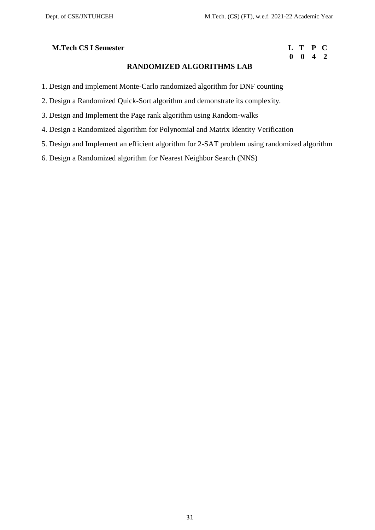# **0 0 4 2**

# **RANDOMIZED ALGORITHMS LAB**

- 1. Design and implement Monte-Carlo randomized algorithm for DNF counting
- 2. Design a Randomized Quick-Sort algorithm and demonstrate its complexity.
- 3. Design and Implement the Page rank algorithm using Random-walks
- 4. Design a Randomized algorithm for Polynomial and Matrix Identity Verification
- 5. Design and Implement an efficient algorithm for 2-SAT problem using randomized algorithm
- 6. Design a Randomized algorithm for Nearest Neighbor Search (NNS)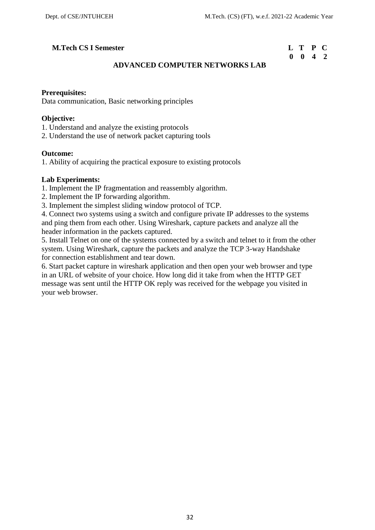# **M.Tech CS I Semester**

| L T P C            |  |  |
|--------------------|--|--|
| $0 \t 0 \t 4 \t 2$ |  |  |

# **ADVANCED COMPUTER NETWORKS LAB**

#### **Prerequisites:**

Data communication, Basic networking principles

#### **Objective:**

- 1. Understand and analyze the existing protocols
- 2. Understand the use of network packet capturing tools

#### **Outcome:**

1. Ability of acquiring the practical exposure to existing protocols

#### **Lab Experiments:**

- 1. Implement the IP fragmentation and reassembly algorithm.
- 2. Implement the IP forwarding algorithm.
- 3. Implement the simplest sliding window protocol of TCP.

4. Connect two systems using a switch and configure private IP addresses to the systems and ping them from each other. Using Wireshark, capture packets and analyze all the header information in the packets captured.

5. Install Telnet on one of the systems connected by a switch and telnet to it from the other system. Using Wireshark, capture the packets and analyze the TCP 3-way Handshake for connection establishment and tear down.

6. Start packet capture in wireshark application and then open your web browser and type in an URL of website of your choice. How long did it take from when the HTTP GET message was sent until the HTTP OK reply was received for the webpage you visited in your web browser.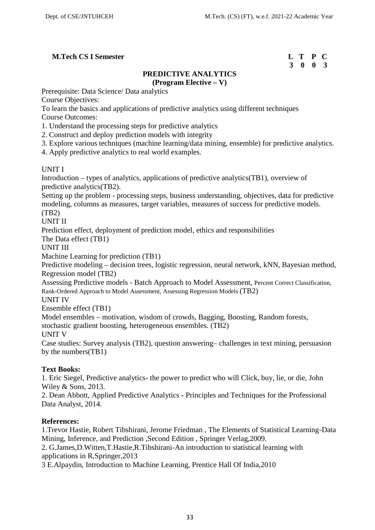# **3 0 0 3**

# **PREDICTIVE ANALYTICS (Program Elective – V)**

Prerequisite: Data Science/ Data analytics

Course Objectives:

To learn the basics and applications of predictive analytics using different techniques Course Outcomes:

- 1. Understand the processing steps for predictive analytics
- 2. Construct and deploy prediction models with integrity
- 3. Explore various techniques (machine learning/data mining, ensemble) for predictive analytics.
- 4. Apply predictive analytics to real world examples.

# UNIT I

Introduction – types of analytics, applications of predictive analytics(TB1), overview of predictive analytics(TB2).

Setting up the problem - processing steps, business understanding, objectives, data for predictive modeling, columns as measures, target variables, measures of success for predictive models. (TB2)

UNIT II

Prediction effect, deployment of prediction model, ethics and responsibilities

The Data effect (TB1)

UNIT III

Machine Learning for prediction (TB1)

Predictive modeling – decision trees, logistic regression, neural network, kNN, Bayesian method, Regression model (TB2)

Assessing Predictive models - Batch Approach to Model Assessment, Percent Correct Classification, Rank-Ordered Approach to Model Assessment, Assessing Regression Models (TB2)

UNIT IV

Ensemble effect (TB1)

Model ensembles – motivation, wisdom of crowds, Bagging, Boosting, Random forests, stochastic gradient boosting, heterogeneous ensembles. (TB2)

UNIT V

Case studies: Survey analysis (TB2), question answering– challenges in text mining, persuasion by the numbers(TB1)

# **Text Books:**

1. Eric Siegel, Predictive analytics- the power to predict who will Click, buy, lie, or die, John Wiley & Sons, 2013.

2. Dean Abbott, Applied Predictive Analytics - Principles and Techniques for the Professional Data Analyst, 2014.

# **References:**

1.Trevor Hastie, Robert Tibshirani, Jerome Friedman , The Elements of Statistical Learning-Data Mining, Inference, and Prediction , Second Edition , Springer Verlag, 2009.

2. G.James,D.Witten,T.Hastie,R.Tibshirani-An introduction to statistical learning with applications in R,Springer,2013

3 E.Alpaydin, Introduction to Machine Learning, Prentice Hall Of India,2010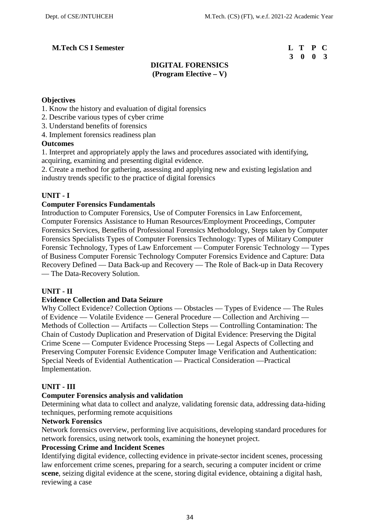# **3 0 0 3**

# **DIGITAL FORENSICS (Program Elective – V)**

# **Objectives**

- 1. Know the history and evaluation of digital forensics
- 2. Describe various types of cyber crime
- 3. Understand benefits of forensics
- 4. Implement forensics readiness plan

## **Outcomes**

1. Interpret and appropriately apply the laws and procedures associated with identifying, acquiring, examining and presenting digital evidence.

2. Create a method for gathering, assessing and applying new and existing legislation and industry trends specific to the practice of digital forensics

# **UNIT - I**

# **Computer Forensics Fundamentals**

Introduction to Computer Forensics, Use of Computer Forensics in Law Enforcement, Computer Forensics Assistance to Human Resources/Employment Proceedings, Computer Forensics Services, Benefits of Professional Forensics Methodology, Steps taken by Computer Forensics Specialists Types of Computer Forensics Technology: Types of Military Computer Forensic Technology, Types of Law Enforcement — Computer Forensic Technology — Types of Business Computer Forensic Technology Computer Forensics Evidence and Capture: Data Recovery Defined — Data Back-up and Recovery — The Role of Back-up in Data Recovery — The Data-Recovery Solution.

#### **UNIT - II**

#### **Evidence Collection and Data Seizure**

Why Collect Evidence? Collection Options — Obstacles — Types of Evidence — The Rules of Evidence — Volatile Evidence — General Procedure — Collection and Archiving — Methods of Collection — Artifacts — Collection Steps — Controlling Contamination: The Chain of Custody Duplication and Preservation of Digital Evidence: Preserving the Digital Crime Scene — Computer Evidence Processing Steps — Legal Aspects of Collecting and Preserving Computer Forensic Evidence Computer Image Verification and Authentication: Special Needs of Evidential Authentication — Practical Consideration —Practical Implementation.

# **UNIT - III**

# **Computer Forensics analysis and validation**

Determining what data to collect and analyze, validating forensic data, addressing data-hiding techniques, performing remote acquisitions

#### **Network Forensics**

Network forensics overview, performing live acquisitions, developing standard procedures for network forensics, using network tools, examining the honeynet project.

#### **Processing Crime and Incident Scenes**

Identifying digital evidence, collecting evidence in private-sector incident scenes, processing law enforcement crime scenes, preparing for a search, securing a computer incident or crime **scene**, seizing digital evidence at the scene, storing digital evidence, obtaining a digital hash, reviewing a case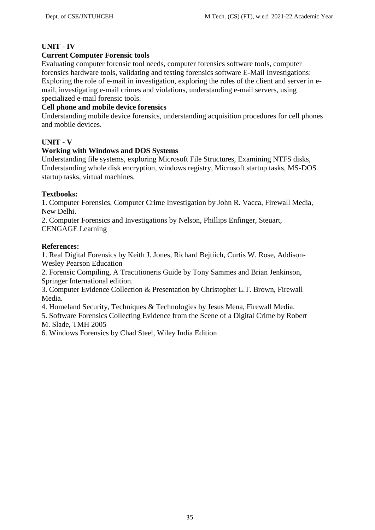# **UNIT - IV**

# **Current Computer Forensic tools**

Evaluating computer forensic tool needs, computer forensics software tools, computer forensics hardware tools, validating and testing forensics software E-Mail Investigations: Exploring the role of e-mail in investigation, exploring the roles of the client and server in e mail, investigating e-mail crimes and violations, understanding e-mail servers, using specialized e-mail forensic tools.

# **Cell phone and mobile device forensics**

Understanding mobile device forensics, understanding acquisition procedures for cell phones and mobile devices.

# **UNIT - V**

## **Working with Windows and DOS Systems**

Understanding file systems, exploring Microsoft File Structures, Examining NTFS disks, Understanding whole disk encryption, windows registry, Microsoft startup tasks, MS-DOS startup tasks, virtual machines.

## **Textbooks:**

1. Computer Forensics, Computer Crime Investigation by John R. Vacca, Firewall Media, New Delhi.

2. Computer Forensics and Investigations by Nelson, Phillips Enfinger, Steuart, CENGAGE Learning

## **References:**

1. Real Digital Forensics by Keith J. Jones, Richard Bejtiich, Curtis W. Rose, Addison- Wesley Pearson Education

2. Forensic Compiling, A Tractitioneris Guide by Tony Sammes and Brian Jenkinson, Springer International edition.

3. Computer Evidence Collection & Presentation by Christopher L.T. Brown, Firewall Media.

4. Homeland Security, Techniques & Technologies by Jesus Mena, Firewall Media.

5. Software Forensics Collecting Evidence from the Scene of a Digital Crime by Robert M. Slade, TMH 2005

6. Windows Forensics by Chad Steel, Wiley India Edition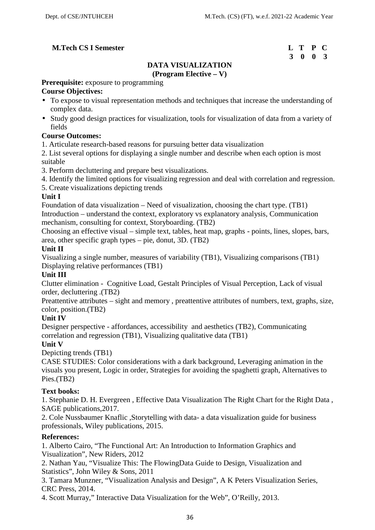# **3 0 0 3**

# **DATA VISUALIZATION (Program Elective – V)**

# **Prerequisite:** exposure to programming

# **Course Objectives:**

- To expose to visual representation methods and techniques that increase the understanding of complex data.
- Study good design practices for visualization, tools for visualization of data from a variety of fields

# **Course Outcomes:**

- 1. Articulate research-based reasons for pursuing better data visualization
- 2. List several options for displaying a single number and describe when each option is most suitable
- 3. Perform decluttering and prepare best visualizations.
- 4. Identify the limited options for visualizing regression and deal with correlation and regression.
- 5. Create visualizations depicting trends

## **Unit I**

Foundation of data visualization – Need of visualization, choosing the chart type. (TB1) Introduction – understand the context, exploratory vs explanatory analysis, Communication mechanism, consulting for context, Storyboarding. (TB2)

Choosing an effective visual – simple text, tables, heat map, graphs - points, lines, slopes, bars, area, other specific graph types – pie, donut, 3D. (TB2)

## **Unit II**

Visualizing a single number, measures of variability (TB1), Visualizing comparisons (TB1) Displaying relative performances (TB1)

# **Unit III**

Clutter elimination - Cognitive Load, Gestalt Principles of Visual Perception, Lack of visual order, decluttering .(TB2)

Preattentive attributes – sight and memory , preattentive attributes of numbers, text, graphs, size, color, position.(TB2)

# **Unit IV**

Designer perspective - affordances, accessibility and aesthetics (TB2), Communicating correlation and regression (TB1), Visualizing qualitative data (TB1)

#### **Unit V**

# Depicting trends (TB1)

CASE STUDIES: Color considerations with a dark background, Leveraging animation in the visuals you present, Logic in order, Strategies for avoiding the spaghetti graph, Alternatives to Pies.(TB2)

# **Text books:**

1. Stephanie D. H. Evergreen , Effective Data Visualization The Right Chart for the Right Data , SAGE publications,2017.

2. Cole Nussbaumer Knaflic ,Storytelling with data- a data visualization guide for business professionals, Wiley publications, 2015.

# **References:**

1. Alberto Cairo, "The Functional Art: An Introduction to Information Graphics and Visualization", New Riders, 2012

2. Nathan Yau, "Visualize This: The FlowingData Guide to Design, Visualization and Statistics", John Wiley & Sons, 2011

3. Tamara Munzner, "Visualization Analysis and Design", A K Peters Visualization Series, CRC Press, 2014.

4. Scott Murray," Interactive Data Visualization for the Web", O'Reilly, 2013.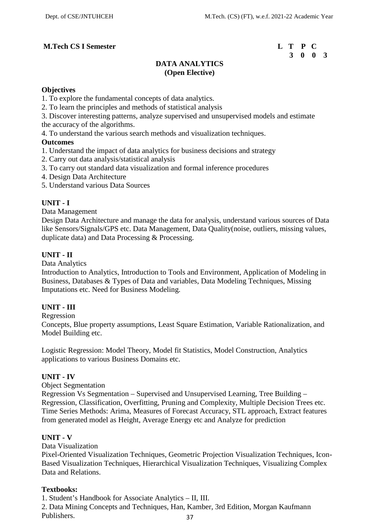# **3 0 0 3**

# **DATA ANALYTICS (Open Elective)**

#### **Objectives**

- 1. To explore the fundamental concepts of data analytics.
- 2. To learn the principles and methods of statistical analysis

3. Discover interesting patterns, analyze supervised and unsupervised models and estimate the accuracy of the algorithms.

4. To understand the various search methods and visualization techniques.

## **Outcomes**

- 1. Understand the impact of data analytics for business decisions and strategy
- 2. Carry out data analysis/statistical analysis
- 3. To carry out standard data visualization and formal inference procedures
- 4. Design Data Architecture
- 5. Understand various Data Sources

# **UNIT - I**

Data Management

Design Data Architecture and manage the data for analysis, understand various sources of Data like Sensors/Signals/GPS etc. Data Management, Data Quality(noise, outliers, missing values, duplicate data) and Data Processing & Processing.

## **UNIT - II**

Data Analytics

Introduction to Analytics, Introduction to Tools and Environment, Application of Modeling in Business, Databases & Types of Data and variables, Data Modeling Techniques, Missing Imputations etc. Need for Business Modeling.

# **UNIT - III**

Regression

Concepts, Blue property assumptions, Least Square Estimation, Variable Rationalization, and Model Building etc.

Logistic Regression: Model Theory, Model fit Statistics, Model Construction, Analytics applications to various Business Domains etc.

#### **UNIT - IV**

Object Segmentation

Regression Vs Segmentation – Supervised and Unsupervised Learning, Tree Building – Regression, Classification, Overfitting, Pruning and Complexity, Multiple Decision Trees etc. Time Series Methods: Arima, Measures of Forecast Accuracy, STL approach, Extract features from generated model as Height, Average Energy etc and Analyze for prediction

#### **UNIT - V**

Data Visualization

Pixel-Oriented Visualization Techniques, Geometric Projection Visualization Techniques, Icon- Based Visualization Techniques, Hierarchical Visualization Techniques, Visualizing Complex Data and Relations.

#### **Textbooks:**

1. Student's Handbook for Associate Analytics – II, III.

2. Data Mining Concepts and Techniques, Han, Kamber, 3rd Edition, Morgan Kaufmann Publishers.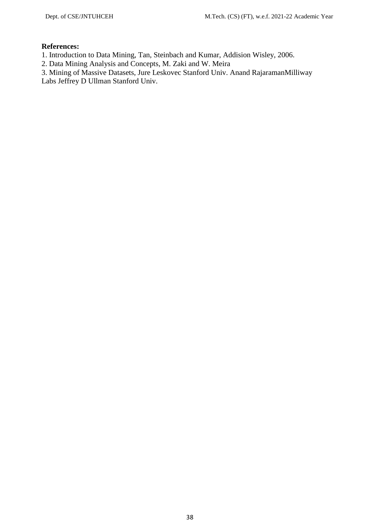# **References:**

- 1. Introduction to Data Mining, Tan, Steinbach and Kumar, Addision Wisley, 2006.
- 2. Data Mining Analysis and Concepts, M. Zaki and W. Meira

3. Mining of Massive Datasets, Jure Leskovec Stanford Univ. Anand RajaramanMilliway Labs Jeffrey D Ullman Stanford Univ.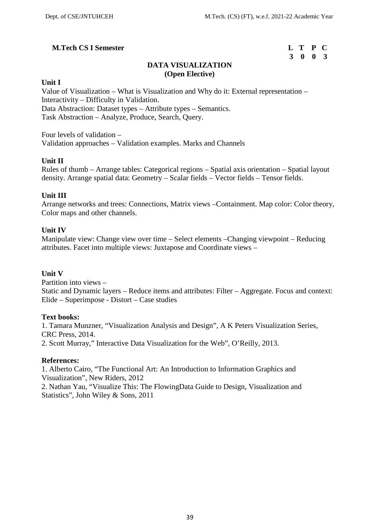## **M.Tech CS I Semester**

| L T P C |  |
|---------|--|
| 3 0 0 3 |  |

# **DATA VISUALIZATION (Open Elective)**

#### **Unit I**

Value of Visualization – What is Visualization and Why do it: External representation – Interactivity – Difficulty in Validation. Data Abstraction: Dataset types – Attribute types – Semantics. Task Abstraction – Analyze, Produce, Search, Query.

Four levels of validation – Validation approaches – Validation examples. Marks and Channels

## **Unit II**

Rules of thumb – Arrange tables: Categorical regions – Spatial axis orientation – Spatial layout density. Arrange spatial data: Geometry – Scalar fields – Vector fields – Tensor fields.

## **Unit III**

Arrange networks and trees: Connections, Matrix views –Containment. Map color: Color theory, Color maps and other channels.

#### **Unit IV**

Manipulate view: Change view over time – Select elements –Changing viewpoint – Reducing attributes. Facet into multiple views: Juxtapose and Coordinate views –

#### **Unit V**

Partition into views – Static and Dynamic layers – Reduce items and attributes: Filter – Aggregate. Focus and context: Elide – Superimpose - Distort – Case studies

#### **Text books:**

1. Tamara Munzner, "Visualization Analysis and Design", A K Peters Visualization Series, CRC Press, 2014. 2. Scott Murray," Interactive Data Visualization for the Web", O'Reilly, 2013.

#### **References:**

1. Alberto Cairo, "The Functional Art: An Introduction to Information Graphics and Visualization", New Riders, 2012

2. Nathan Yau, "Visualize This: The FlowingData Guide to Design, Visualization and Statistics", John Wiley & Sons, 2011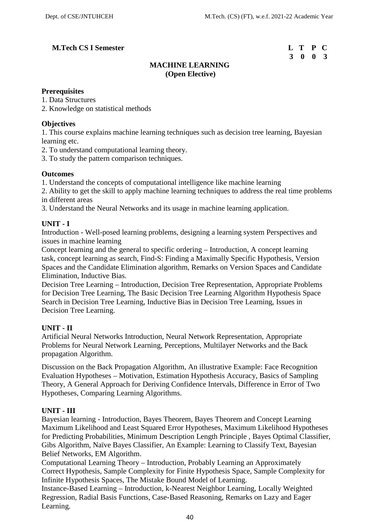# **M.Tech CS I Semester**

| L T P C |  |
|---------|--|
| 3 0 0 3 |  |

# **MACHINE LEARNING (Open Elective)**

## **Prerequisites**

1. Data Structures

2. Knowledge on statistical methods

## **Objectives**

1. This course explains machine learning techniques such as decision tree learning, Bayesian learning etc.

2. To understand computational learning theory.

3. To study the pattern comparison techniques.

# **Outcomes**

1. Understand the concepts of computational intelligence like machine learning

2. Ability to get the skill to apply machine learning techniques to address the real time problems in different areas

3. Understand the Neural Networks and its usage in machine learning application.

# **UNIT - I**

Introduction - Well-posed learning problems, designing a learning system Perspectives and issues in machine learning

Concept learning and the general to specific ordering – Introduction, A concept learning task, concept learning as search, Find-S: Finding a Maximally Specific Hypothesis, Version Spaces and the Candidate Elimination algorithm, Remarks on Version Spaces and Candidate Elimination, Inductive Bias.

Decision Tree Learning – Introduction, Decision Tree Representation, Appropriate Problems for Decision Tree Learning, The Basic Decision Tree Learning Algorithm Hypothesis Space Search in Decision Tree Learning, Inductive Bias in Decision Tree Learning, Issues in Decision Tree Learning.

# **UNIT - II**

Artificial Neural Networks Introduction, Neural Network Representation, Appropriate Problems for Neural Network Learning, Perceptions, Multilayer Networks and the Back propagation Algorithm.

Discussion on the Back Propagation Algorithm, An illustrative Example: Face Recognition Evaluation Hypotheses – Motivation, Estimation Hypothesis Accuracy, Basics of Sampling Theory, A General Approach for Deriving Confidence Intervals, Difference in Error of Two Hypotheses, Comparing Learning Algorithms.

# **UNIT - III**

Bayesian learning - Introduction, Bayes Theorem, Bayes Theorem and Concept Learning Maximum Likelihood and Least Squared Error Hypotheses, Maximum Likelihood Hypotheses for Predicting Probabilities, Minimum Description Length Principle , Bayes Optimal Classifier, Gibs Algorithm, Naïve Bayes Classifier, An Example: Learning to Classify Text, Bayesian Belief Networks, EM Algorithm.

Computational Learning Theory – Introduction, Probably Learning an Approximately Correct Hypothesis, Sample Complexity for Finite Hypothesis Space, Sample Complexity for Infinite Hypothesis Spaces, The Mistake Bound Model of Learning.

Instance-Based Learning – Introduction, k-Nearest Neighbor Learning, Locally Weighted Regression, Radial Basis Functions, Case-Based Reasoning, Remarks on Lazy and Eager Learning.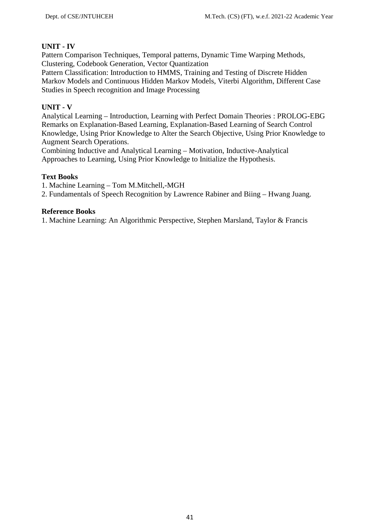# **UNIT - IV**

Pattern Comparison Techniques, Temporal patterns, Dynamic Time Warping Methods, Clustering, Codebook Generation, Vector Quantization

Pattern Classification: Introduction to HMMS, Training and Testing of Discrete Hidden Markov Models and Continuous Hidden Markov Models, Viterbi Algorithm, Different Case Studies in Speech recognition and Image Processing

# **UNIT - V**

Analytical Learning – Introduction, Learning with Perfect Domain Theories : PROLOG-EBG Remarks on Explanation-Based Learning, Explanation-Based Learning of Search Control Knowledge, Using Prior Knowledge to Alter the Search Objective, Using Prior Knowledge to Augment Search Operations.

Combining Inductive and Analytical Learning – Motivation, Inductive-Analytical Approaches to Learning, Using Prior Knowledge to Initialize the Hypothesis.

## **Text Books**

1. Machine Learning – Tom M.Mitchell,-MGH

2. Fundamentals of Speech Recognition by Lawrence Rabiner and Biing – Hwang Juang.

## **Reference Books**

1. Machine Learning: An Algorithmic Perspective, Stephen Marsland, Taylor & Francis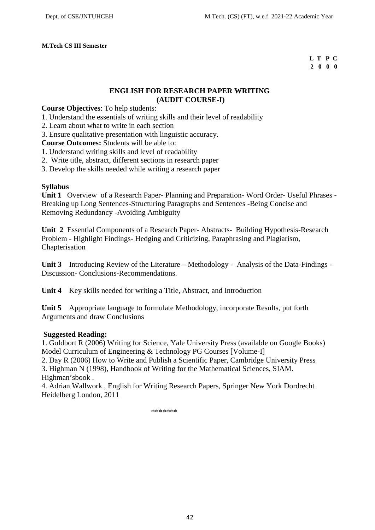#### **M.Tech CS III Semester**

#### **L T P C 2 0 0 0**

# **ENGLISH FOR RESEARCH PAPER WRITING (AUDIT COURSE-I)**

### **Course Objectives**: To help students:

- 1. Understand the essentials of writing skills and their level of readability
- 2. Learn about what to write in each section
- 3. Ensure qualitative presentation with linguistic accuracy.

**Course Outcomes:** Students will be able to:

- 1. Understand writing skills and level of readability
- 2. Write title, abstract, different sections in research paper
- 3. Develop the skills needed while writing a research paper

## **Syllabus**

**Unit 1** Overview of a Research Paper- Planning and Preparation- Word Order- Useful Phrases - Breaking up Long Sentences-Structuring Paragraphs and Sentences -Being Concise and Removing Redundancy -Avoiding Ambiguity

**Unit 2** Essential Components of a Research Paper- Abstracts- Building Hypothesis-Research Problem - Highlight Findings- Hedging and Criticizing, Paraphrasing and Plagiarism, Chapterisation

**Unit 3** Introducing Review of the Literature – Methodology - Analysis of the Data-Findings - Discussion- Conclusions-Recommendations.

**Unit 4** Key skills needed for writing a Title, Abstract, and Introduction

**Unit 5** Appropriate language to formulate Methodology, incorporate Results, put forth Arguments and draw Conclusions

#### **Suggested Reading:**

1. Goldbort R (2006) Writing for Science, Yale University Press (available on Google Books) Model Curriculum of Engineering & Technology PG Courses [Volume-I]

2. Day R (2006) How to Write and Publish a Scientific Paper, Cambridge University Press 3. Highman N (1998), Handbook of Writing for the Mathematical Sciences, SIAM. Highman'sbook .

4. Adrian Wallwork , English for Writing Research Papers, Springer New York Dordrecht Heidelberg London, 2011

\*\*\*\*\*\*\*